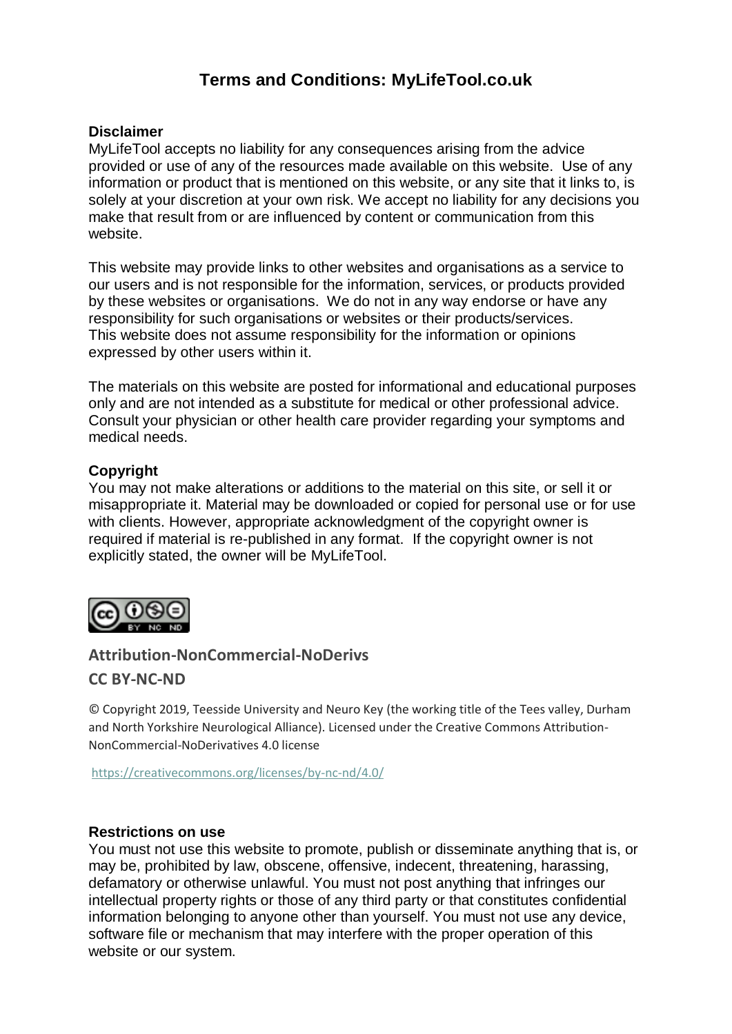# **Terms and Conditions: MyLifeTool.co.uk**

# **Disclaimer**

MyLifeTool accepts no liability for any consequences arising from the advice provided or use of any of the resources made available on this website. Use of any information or product that is mentioned on this website, or any site that it links to, is solely at your discretion at your own risk. We accept no liability for any decisions you make that result from or are influenced by content or communication from this website.

This website may provide links to other websites and organisations as a service to our users and is not responsible for the information, services, or products provided by these websites or organisations. We do not in any way endorse or have any responsibility for such organisations or websites or their products/services. This website does not assume responsibility for the information or opinions expressed by other users within it.

The materials on this website are posted for informational and educational purposes only and are not intended as a substitute for medical or other professional advice. Consult your physician or other health care provider regarding your symptoms and medical needs.

# **Copyright**

You may not make alterations or additions to the material on this site, or sell it or misappropriate it. Material may be downloaded or copied for personal use or for use with clients. However, appropriate acknowledgment of the copyright owner is required if material is re-published in any format. If the copyright owner is not explicitly stated, the owner will be MyLifeTool.



# **Attribution-NonCommercial-NoDerivs**

# **CC BY-NC-ND**

© Copyright 2019, Teesside University and Neuro Key (the working title of the Tees valley, Durham and North Yorkshire Neurological Alliance). Licensed under the Creative Commons Attribution-NonCommercial-NoDerivatives 4.0 license

<https://creativecommons.org/licenses/by-nc-nd/4.0/>

#### **Restrictions on use**

You must not use this website to promote, publish or disseminate anything that is, or may be, prohibited by law, obscene, offensive, indecent, threatening, harassing, defamatory or otherwise unlawful. You must not post anything that infringes our intellectual property rights or those of any third party or that constitutes confidential information belonging to anyone other than yourself. You must not use any device, software file or mechanism that may interfere with the proper operation of this website or our system.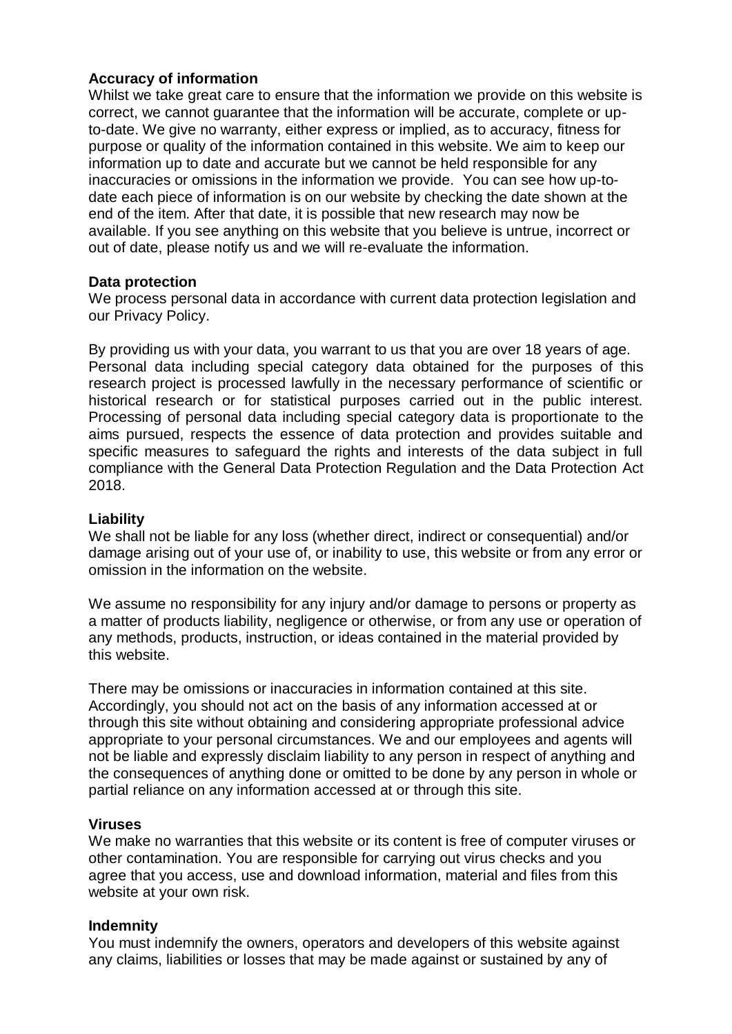# **Accuracy of information**

Whilst we take great care to ensure that the information we provide on this website is correct, we cannot guarantee that the information will be accurate, complete or upto-date. We give no warranty, either express or implied, as to accuracy, fitness for purpose or quality of the information contained in this website. We aim to keep our information up to date and accurate but we cannot be held responsible for any inaccuracies or omissions in the information we provide. You can see how up-todate each piece of information is on our website by checking the date shown at the end of the item. After that date, it is possible that new research may now be available. If you see anything on this website that you believe is untrue, incorrect or out of date, please notify us and we will re-evaluate the information.

# **Data protection**

We process personal data in accordance with current data protection legislation and our Privacy Policy.

By providing us with your data, you warrant to us that you are over 18 years of age. Personal data including special category data obtained for the purposes of this research project is processed lawfully in the necessary performance of scientific or historical research or for statistical purposes carried out in the public interest. Processing of personal data including special category data is proportionate to the aims pursued, respects the essence of data protection and provides suitable and specific measures to safeguard the rights and interests of the data subject in full compliance with the General Data Protection Regulation and the Data Protection Act 2018.

# **Liability**

We shall not be liable for any loss (whether direct, indirect or consequential) and/or damage arising out of your use of, or inability to use, this website or from any error or omission in the information on the website.

We assume no responsibility for any injury and/or damage to persons or property as a matter of products liability, negligence or otherwise, or from any use or operation of any methods, products, instruction, or ideas contained in the material provided by this website.

There may be omissions or inaccuracies in information contained at this site. Accordingly, you should not act on the basis of any information accessed at or through this site without obtaining and considering appropriate professional advice appropriate to your personal circumstances. We and our employees and agents will not be liable and expressly disclaim liability to any person in respect of anything and the consequences of anything done or omitted to be done by any person in whole or partial reliance on any information accessed at or through this site.

#### **Viruses**

We make no warranties that this website or its content is free of computer viruses or other contamination. You are responsible for carrying out virus checks and you agree that you access, use and download information, material and files from this website at your own risk.

# **Indemnity**

You must indemnify the owners, operators and developers of this website against any claims, liabilities or losses that may be made against or sustained by any of